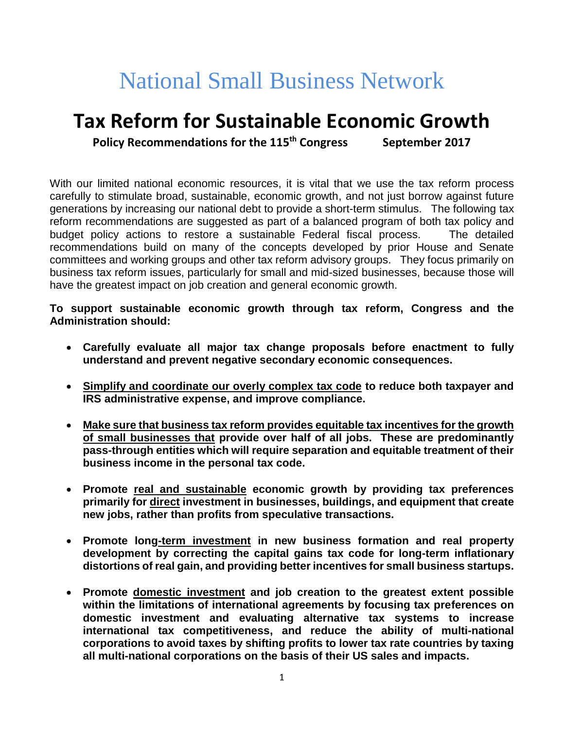# National Small Business Network

# **Tax Reform for Sustainable Economic Growth**

**Policy Recommendations for the 115th Congress September 2017**

With our limited national economic resources, it is vital that we use the tax reform process carefully to stimulate broad, sustainable, economic growth, and not just borrow against future generations by increasing our national debt to provide a short-term stimulus. The following tax reform recommendations are suggested as part of a balanced program of both tax policy and budget policy actions to restore a sustainable Federal fiscal process. The detailed recommendations build on many of the concepts developed by prior House and Senate committees and working groups and other tax reform advisory groups. They focus primarily on business tax reform issues, particularly for small and mid-sized businesses, because those will have the greatest impact on job creation and general economic growth.

**To support sustainable economic growth through tax reform, Congress and the Administration should:**

- **Carefully evaluate all major tax change proposals before enactment to fully understand and prevent negative secondary economic consequences.**
- **Simplify and coordinate our overly complex tax code to reduce both taxpayer and IRS administrative expense, and improve compliance.**
- **Make sure that business tax reform provides equitable tax incentives for the growth of small businesses that provide over half of all jobs. These are predominantly pass-through entities which will require separation and equitable treatment of their business income in the personal tax code.**
- **Promote real and sustainable economic growth by providing tax preferences primarily for direct investment in businesses, buildings, and equipment that create new jobs, rather than profits from speculative transactions.**
- **Promote long-term investment in new business formation and real property development by correcting the capital gains tax code for long-term inflationary distortions of real gain, and providing better incentives for small business startups.**
- **Promote domestic investment and job creation to the greatest extent possible within the limitations of international agreements by focusing tax preferences on domestic investment and evaluating alternative tax systems to increase international tax competitiveness, and reduce the ability of multi-national corporations to avoid taxes by shifting profits to lower tax rate countries by taxing all multi-national corporations on the basis of their US sales and impacts.**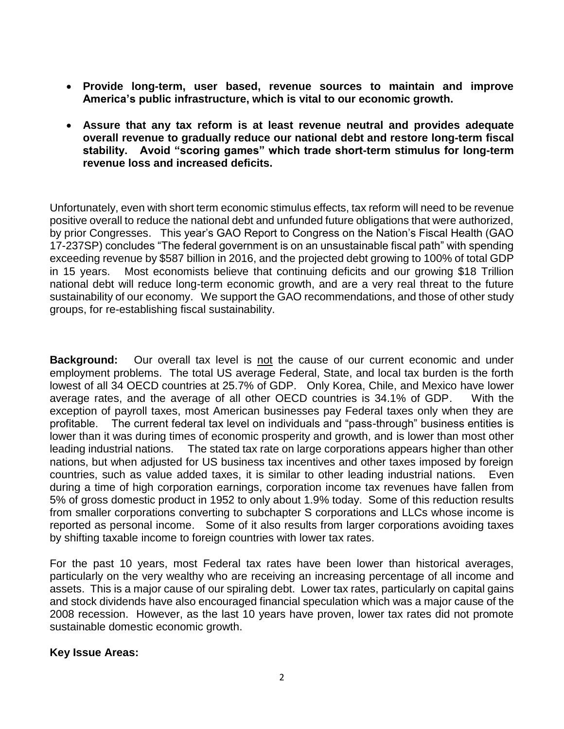- **Provide long-term, user based, revenue sources to maintain and improve America's public infrastructure, which is vital to our economic growth.**
- **Assure that any tax reform is at least revenue neutral and provides adequate overall revenue to gradually reduce our national debt and restore long-term fiscal stability. Avoid "scoring games" which trade short-term stimulus for long-term revenue loss and increased deficits.**

Unfortunately, even with short term economic stimulus effects, tax reform will need to be revenue positive overall to reduce the national debt and unfunded future obligations that were authorized, by prior Congresses. This year's GAO Report to Congress on the Nation's Fiscal Health (GAO 17-237SP) concludes "The federal government is on an unsustainable fiscal path" with spending exceeding revenue by \$587 billion in 2016, and the projected debt growing to 100% of total GDP in 15 years. Most economists believe that continuing deficits and our growing \$18 Trillion national debt will reduce long-term economic growth, and are a very real threat to the future sustainability of our economy. We support the GAO recommendations, and those of other study groups, for re-establishing fiscal sustainability.

**Background:** Our overall tax level is not the cause of our current economic and under employment problems. The total US average Federal, State, and local tax burden is the forth lowest of all 34 OECD countries at 25.7% of GDP. Only Korea, Chile, and Mexico have lower average rates, and the average of all other OECD countries is 34.1% of GDP. With the exception of payroll taxes, most American businesses pay Federal taxes only when they are profitable. The current federal tax level on individuals and "pass-through" business entities is lower than it was during times of economic prosperity and growth, and is lower than most other leading industrial nations. The stated tax rate on large corporations appears higher than other nations, but when adjusted for US business tax incentives and other taxes imposed by foreign countries, such as value added taxes, it is similar to other leading industrial nations. Even during a time of high corporation earnings, corporation income tax revenues have fallen from 5% of gross domestic product in 1952 to only about 1.9% today. Some of this reduction results from smaller corporations converting to subchapter S corporations and LLCs whose income is reported as personal income. Some of it also results from larger corporations avoiding taxes by shifting taxable income to foreign countries with lower tax rates.

For the past 10 years, most Federal tax rates have been lower than historical averages, particularly on the very wealthy who are receiving an increasing percentage of all income and assets. This is a major cause of our spiraling debt. Lower tax rates, particularly on capital gains and stock dividends have also encouraged financial speculation which was a major cause of the 2008 recession. However, as the last 10 years have proven, lower tax rates did not promote sustainable domestic economic growth.

### **Key Issue Areas:**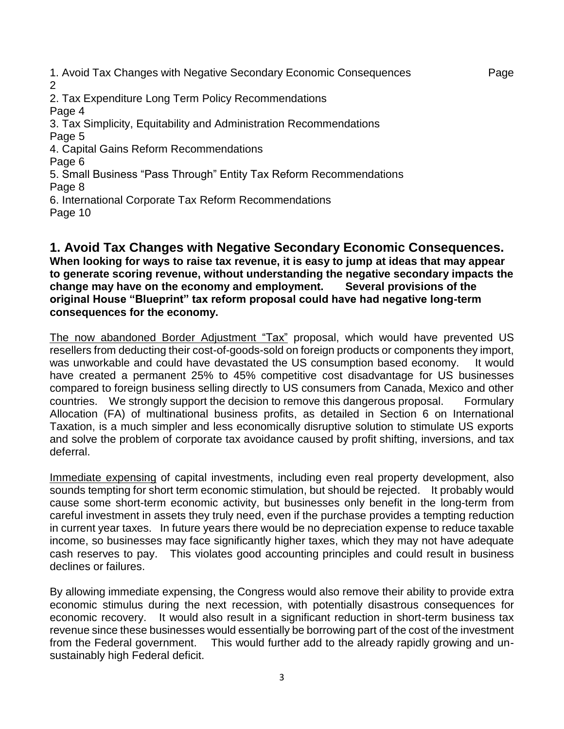1. Avoid Tax Changes with Negative Secondary Economic Consequences Page  $\mathfrak{D}$ 2. Tax Expenditure Long Term Policy Recommendations Page 4 3. Tax Simplicity, Equitability and Administration Recommendations Page 5 4. Capital Gains Reform Recommendations Page 6 5. Small Business "Pass Through" Entity Tax Reform Recommendations Page 8 6. International Corporate Tax Reform Recommendations Page 10

# **1. Avoid Tax Changes with Negative Secondary Economic Consequences.**

**When looking for ways to raise tax revenue, it is easy to jump at ideas that may appear to generate scoring revenue, without understanding the negative secondary impacts the change may have on the economy and employment. Several provisions of the original House "Blueprint" tax reform proposal could have had negative long-term consequences for the economy.**

The now abandoned Border Adjustment "Tax" proposal, which would have prevented US resellers from deducting their cost-of-goods-sold on foreign products or components they import, was unworkable and could have devastated the US consumption based economy. It would have created a permanent 25% to 45% competitive cost disadvantage for US businesses compared to foreign business selling directly to US consumers from Canada, Mexico and other countries. We strongly support the decision to remove this dangerous proposal. Formulary Allocation (FA) of multinational business profits, as detailed in Section 6 on International Taxation, is a much simpler and less economically disruptive solution to stimulate US exports and solve the problem of corporate tax avoidance caused by profit shifting, inversions, and tax deferral.

Immediate expensing of capital investments, including even real property development, also sounds tempting for short term economic stimulation, but should be rejected. It probably would cause some short-term economic activity, but businesses only benefit in the long-term from careful investment in assets they truly need, even if the purchase provides a tempting reduction in current year taxes. In future years there would be no depreciation expense to reduce taxable income, so businesses may face significantly higher taxes, which they may not have adequate cash reserves to pay. This violates good accounting principles and could result in business declines or failures.

By allowing immediate expensing, the Congress would also remove their ability to provide extra economic stimulus during the next recession, with potentially disastrous consequences for economic recovery. It would also result in a significant reduction in short-term business tax revenue since these businesses would essentially be borrowing part of the cost of the investment from the Federal government. This would further add to the already rapidly growing and unsustainably high Federal deficit.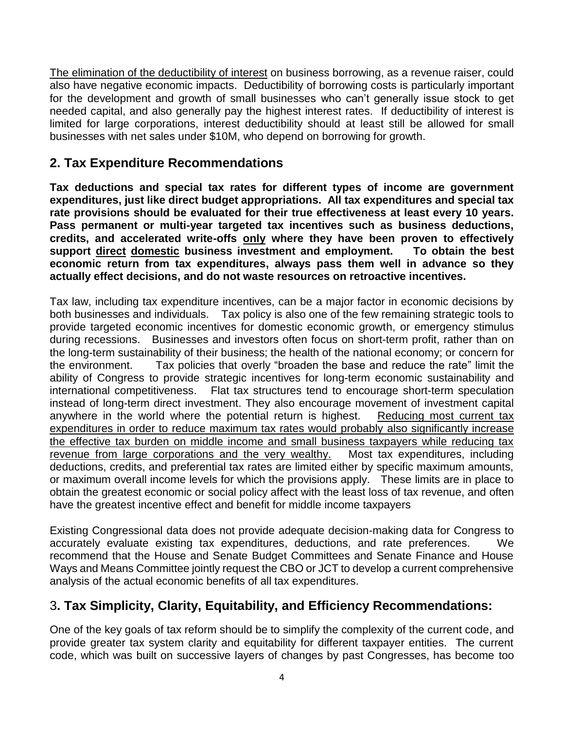The elimination of the deductibility of interest on business borrowing, as a revenue raiser, could also have negative economic impacts. Deductibility of borrowing costs is particularly important for the development and growth of small businesses who can't generally issue stock to get needed capital, and also generally pay the highest interest rates. If deductibility of interest is limited for large corporations, interest deductibility should at least still be allowed for small businesses with net sales under \$10M, who depend on borrowing for growth.

# **2. Tax Expenditure Recommendations**

**Tax deductions and special tax rates for different types of income are government expenditures, just like direct budget appropriations. All tax expenditures and special tax rate provisions should be evaluated for their true effectiveness at least every 10 years. Pass permanent or multi-year targeted tax incentives such as business deductions, credits, and accelerated write-offs only where they have been proven to effectively support direct domestic business investment and employment. To obtain the best economic return from tax expenditures, always pass them well in advance so they actually effect decisions, and do not waste resources on retroactive incentives.**

Tax law, including tax expenditure incentives, can be a major factor in economic decisions by both businesses and individuals. Tax policy is also one of the few remaining strategic tools to provide targeted economic incentives for domestic economic growth, or emergency stimulus during recessions. Businesses and investors often focus on short-term profit, rather than on the long-term sustainability of their business; the health of the national economy; or concern for the environment. Tax policies that overly "broaden the base and reduce the rate" limit the ability of Congress to provide strategic incentives for long-term economic sustainability and international competitiveness. Flat tax structures tend to encourage short-term speculation instead of long-term direct investment. They also encourage movement of investment capital anywhere in the world where the potential return is highest. Reducing most current tax expenditures in order to reduce maximum tax rates would probably also significantly increase the effective tax burden on middle income and small business taxpayers while reducing tax revenue from large corporations and the very wealthy. Most tax expenditures, including deductions, credits, and preferential tax rates are limited either by specific maximum amounts, or maximum overall income levels for which the provisions apply. These limits are in place to obtain the greatest economic or social policy affect with the least loss of tax revenue, and often have the greatest incentive effect and benefit for middle income taxpayers

Existing Congressional data does not provide adequate decision-making data for Congress to accurately evaluate existing tax expenditures, deductions, and rate preferences. We recommend that the House and Senate Budget Committees and Senate Finance and House Ways and Means Committee jointly request the CBO or JCT to develop a current comprehensive analysis of the actual economic benefits of all tax expenditures.

# 3**. Tax Simplicity, Clarity, Equitability, and Efficiency Recommendations:**

One of the key goals of tax reform should be to simplify the complexity of the current code, and provide greater tax system clarity and equitability for different taxpayer entities. The current code, which was built on successive layers of changes by past Congresses, has become too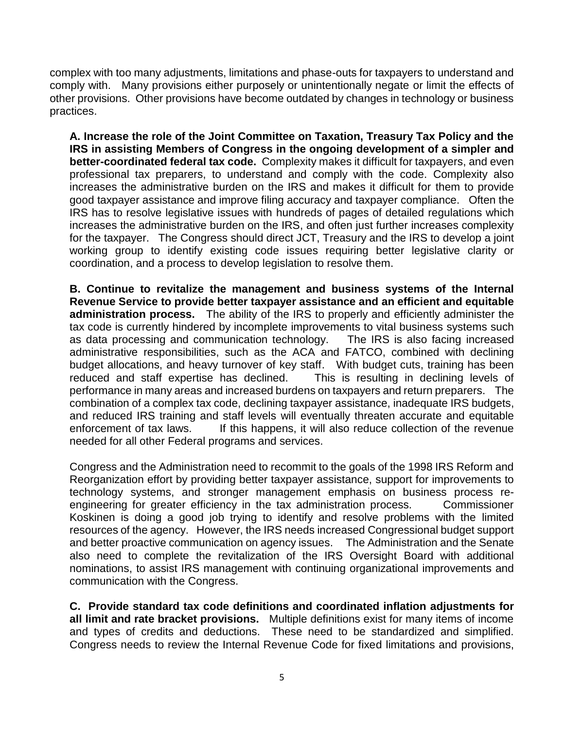complex with too many adjustments, limitations and phase-outs for taxpayers to understand and comply with. Many provisions either purposely or unintentionally negate or limit the effects of other provisions. Other provisions have become outdated by changes in technology or business practices.

**A. Increase the role of the Joint Committee on Taxation, Treasury Tax Policy and the IRS in assisting Members of Congress in the ongoing development of a simpler and better-coordinated federal tax code.** Complexity makes it difficult for taxpayers, and even professional tax preparers, to understand and comply with the code. Complexity also increases the administrative burden on the IRS and makes it difficult for them to provide good taxpayer assistance and improve filing accuracy and taxpayer compliance. Often the IRS has to resolve legislative issues with hundreds of pages of detailed regulations which increases the administrative burden on the IRS, and often just further increases complexity for the taxpayer. The Congress should direct JCT, Treasury and the IRS to develop a joint working group to identify existing code issues requiring better legislative clarity or coordination, and a process to develop legislation to resolve them.

**B. Continue to revitalize the management and business systems of the Internal Revenue Service to provide better taxpayer assistance and an efficient and equitable administration process.** The ability of the IRS to properly and efficiently administer the tax code is currently hindered by incomplete improvements to vital business systems such as data processing and communication technology. The IRS is also facing increased administrative responsibilities, such as the ACA and FATCO, combined with declining budget allocations, and heavy turnover of key staff. With budget cuts, training has been reduced and staff expertise has declined. This is resulting in declining levels of performance in many areas and increased burdens on taxpayers and return preparers. The combination of a complex tax code, declining taxpayer assistance, inadequate IRS budgets, and reduced IRS training and staff levels will eventually threaten accurate and equitable enforcement of tax laws. If this happens, it will also reduce collection of the revenue needed for all other Federal programs and services.

Congress and the Administration need to recommit to the goals of the 1998 IRS Reform and Reorganization effort by providing better taxpayer assistance, support for improvements to technology systems, and stronger management emphasis on business process reengineering for greater efficiency in the tax administration process. Commissioner Koskinen is doing a good job trying to identify and resolve problems with the limited resources of the agency. However, the IRS needs increased Congressional budget support and better proactive communication on agency issues. The Administration and the Senate also need to complete the revitalization of the IRS Oversight Board with additional nominations, to assist IRS management with continuing organizational improvements and communication with the Congress.

**C. Provide standard tax code definitions and coordinated inflation adjustments for all limit and rate bracket provisions.** Multiple definitions exist for many items of income and types of credits and deductions. These need to be standardized and simplified. Congress needs to review the Internal Revenue Code for fixed limitations and provisions,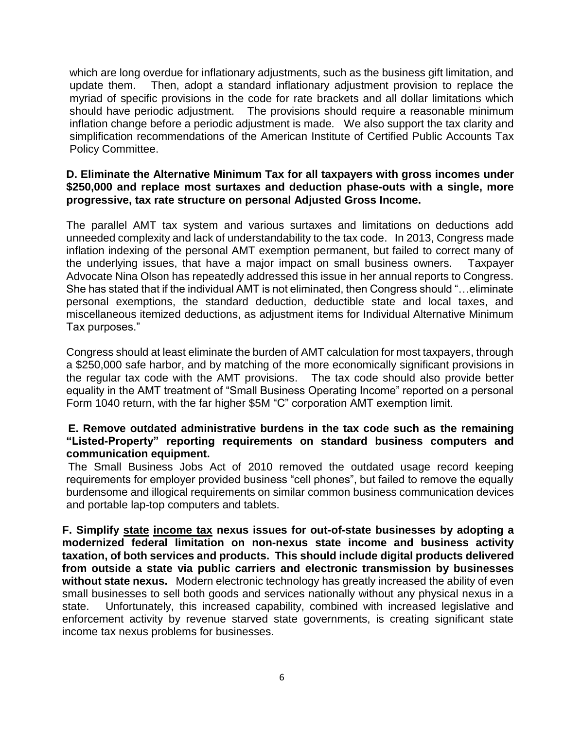which are long overdue for inflationary adjustments, such as the business gift limitation, and update them. Then, adopt a standard inflationary adjustment provision to replace the myriad of specific provisions in the code for rate brackets and all dollar limitations which should have periodic adjustment. The provisions should require a reasonable minimum inflation change before a periodic adjustment is made*.* We also support the tax clarity and simplification recommendations of the American Institute of Certified Public Accounts Tax Policy Committee.

## **D. Eliminate the Alternative Minimum Tax for all taxpayers with gross incomes under \$250,000 and replace most surtaxes and deduction phase-outs with a single, more progressive, tax rate structure on personal Adjusted Gross Income.**

The parallel AMT tax system and various surtaxes and limitations on deductions add unneeded complexity and lack of understandability to the tax code. In 2013, Congress made inflation indexing of the personal AMT exemption permanent, but failed to correct many of the underlying issues, that have a major impact on small business owners. Taxpayer Advocate Nina Olson has repeatedly addressed this issue in her annual reports to Congress. She has stated that if the individual AMT is not eliminated, then Congress should "…eliminate personal exemptions, the standard deduction, deductible state and local taxes, and miscellaneous itemized deductions, as adjustment items for Individual Alternative Minimum Tax purposes."

Congress should at least eliminate the burden of AMT calculation for most taxpayers, through a \$250,000 safe harbor, and by matching of the more economically significant provisions in the regular tax code with the AMT provisions. The tax code should also provide better equality in the AMT treatment of "Small Business Operating Income" reported on a personal Form 1040 return, with the far higher \$5M "C" corporation AMT exemption limit.

### **E. Remove outdated administrative burdens in the tax code such as the remaining "Listed-Property" reporting requirements on standard business computers and communication equipment.**

 The Small Business Jobs Act of 2010 removed the outdated usage record keeping requirements for employer provided business "cell phones", but failed to remove the equally burdensome and illogical requirements on similar common business communication devices and portable lap-top computers and tablets.

**F. Simplify state income tax nexus issues for out-of-state businesses by adopting a modernized federal limitation on non-nexus state income and business activity taxation, of both services and products. This should include digital products delivered from outside a state via public carriers and electronic transmission by businesses without state nexus.** Modern electronic technology has greatly increased the ability of even small businesses to sell both goods and services nationally without any physical nexus in a state. Unfortunately, this increased capability, combined with increased legislative and enforcement activity by revenue starved state governments, is creating significant state income tax nexus problems for businesses.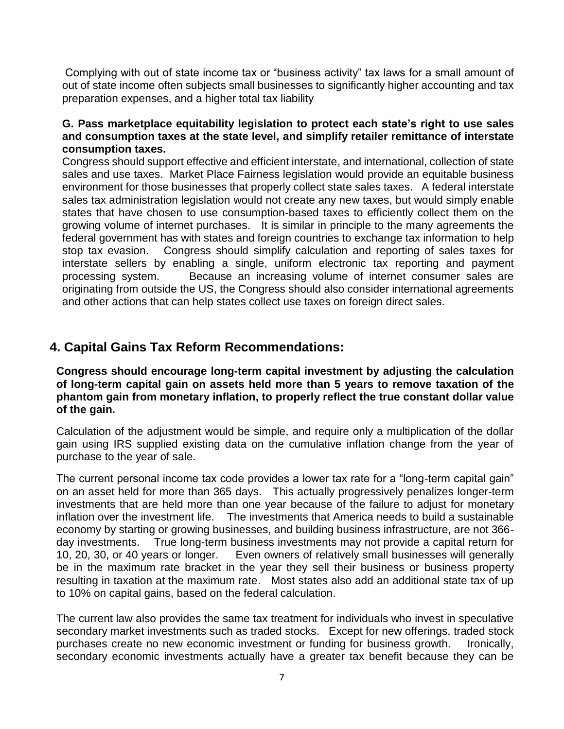Complying with out of state income tax or "business activity" tax laws for a small amount of out of state income often subjects small businesses to significantly higher accounting and tax preparation expenses, and a higher total tax liability

### **G. Pass marketplace equitability legislation to protect each state's right to use sales and consumption taxes at the state level, and simplify retailer remittance of interstate consumption taxes.**

Congress should support effective and efficient interstate, and international, collection of state sales and use taxes. Market Place Fairness legislation would provide an equitable business environment for those businesses that properly collect state sales taxes. A federal interstate sales tax administration legislation would not create any new taxes, but would simply enable states that have chosen to use consumption-based taxes to efficiently collect them on the growing volume of internet purchases. It is similar in principle to the many agreements the federal government has with states and foreign countries to exchange tax information to help stop tax evasion. Congress should simplify calculation and reporting of sales taxes for interstate sellers by enabling a single, uniform electronic tax reporting and payment processing system. Because an increasing volume of internet consumer sales are originating from outside the US, the Congress should also consider international agreements and other actions that can help states collect use taxes on foreign direct sales.

# **4. Capital Gains Tax Reform Recommendations:**

**Congress should encourage long-term capital investment by adjusting the calculation of long-term capital gain on assets held more than 5 years to remove taxation of the phantom gain from monetary inflation, to properly reflect the true constant dollar value of the gain.** 

Calculation of the adjustment would be simple, and require only a multiplication of the dollar gain using IRS supplied existing data on the cumulative inflation change from the year of purchase to the year of sale.

The current personal income tax code provides a lower tax rate for a "long-term capital gain" on an asset held for more than 365 days. This actually progressively penalizes longer-term investments that are held more than one year because of the failure to adjust for monetary inflation over the investment life. The investments that America needs to build a sustainable economy by starting or growing businesses, and building business infrastructure, are not 366 day investments. True long-term business investments may not provide a capital return for 10, 20, 30, or 40 years or longer. Even owners of relatively small businesses will generally be in the maximum rate bracket in the year they sell their business or business property resulting in taxation at the maximum rate. Most states also add an additional state tax of up to 10% on capital gains, based on the federal calculation.

The current law also provides the same tax treatment for individuals who invest in speculative secondary market investments such as traded stocks. Except for new offerings, traded stock purchases create no new economic investment or funding for business growth. Ironically, secondary economic investments actually have a greater tax benefit because they can be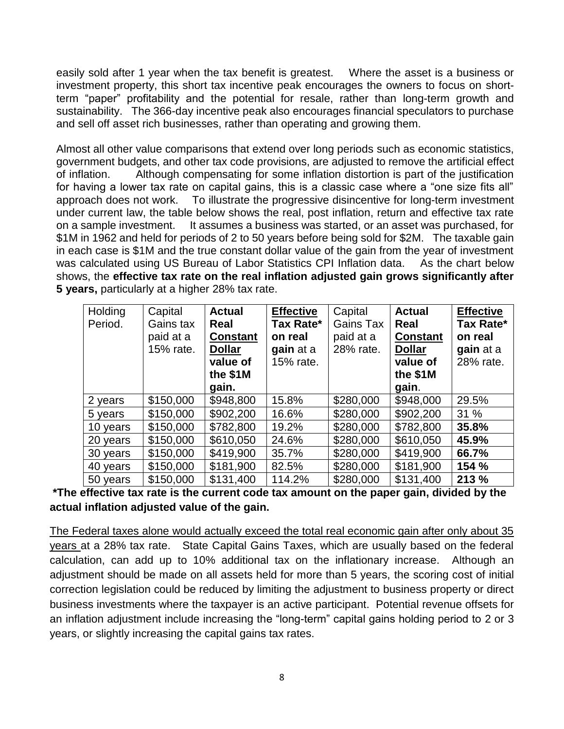easily sold after 1 year when the tax benefit is greatest. Where the asset is a business or investment property, this short tax incentive peak encourages the owners to focus on shortterm "paper" profitability and the potential for resale, rather than long-term growth and sustainability. The 366-day incentive peak also encourages financial speculators to purchase and sell off asset rich businesses, rather than operating and growing them.

Almost all other value comparisons that extend over long periods such as economic statistics, government budgets, and other tax code provisions, are adjusted to remove the artificial effect of inflation. Although compensating for some inflation distortion is part of the justification for having a lower tax rate on capital gains, this is a classic case where a "one size fits all" approach does not work. To illustrate the progressive disincentive for long-term investment under current law, the table below shows the real, post inflation, return and effective tax rate on a sample investment. It assumes a business was started, or an asset was purchased, for \$1M in 1962 and held for periods of 2 to 50 years before being sold for \$2M. The taxable gain in each case is \$1M and the true constant dollar value of the gain from the year of investment was calculated using US Bureau of Labor Statistics CPI Inflation data. As the chart below shows, the **effective tax rate on the real inflation adjusted gain grows significantly after 5 years,** particularly at a higher 28% tax rate.

| Holding  | Capital   | <b>Actual</b>   | <b>Effective</b> | Capital   | <b>Actual</b>   | <b>Effective</b> |
|----------|-----------|-----------------|------------------|-----------|-----------------|------------------|
| Period.  | Gains tax | Real            | Tax Rate*        | Gains Tax | Real            | Tax Rate*        |
|          | paid at a | <b>Constant</b> | on real          | paid at a | <b>Constant</b> | on real          |
|          | 15% rate. | <b>Dollar</b>   | gain at a        | 28% rate. | <b>Dollar</b>   | gain at a        |
|          |           | value of        | 15% rate.        |           | value of        | 28% rate.        |
|          |           | the \$1M        |                  |           | the \$1M        |                  |
|          |           | gain.           |                  |           | gain.           |                  |
| 2 years  | \$150,000 | \$948,800       | 15.8%            | \$280,000 | \$948,000       | 29.5%            |
| 5 years  | \$150,000 | \$902,200       | 16.6%            | \$280,000 | \$902,200       | 31%              |
| 10 years | \$150,000 | \$782,800       | 19.2%            | \$280,000 | \$782,800       | 35.8%            |
| 20 years | \$150,000 | \$610,050       | 24.6%            | \$280,000 | \$610,050       | 45.9%            |
| 30 years | \$150,000 | \$419,900       | 35.7%            | \$280,000 | \$419,900       | 66.7%            |
| 40 years | \$150,000 | \$181,900       | 82.5%            | \$280,000 | \$181,900       | 154 %            |
| 50 years | \$150,000 | \$131,400       | 114.2%           | \$280,000 | \$131,400       | 213 %            |

**\*The effective tax rate is the current code tax amount on the paper gain, divided by the actual inflation adjusted value of the gain.**

The Federal taxes alone would actually exceed the total real economic gain after only about 35 years at a 28% tax rate. State Capital Gains Taxes, which are usually based on the federal calculation, can add up to 10% additional tax on the inflationary increase. Although an adjustment should be made on all assets held for more than 5 years, the scoring cost of initial correction legislation could be reduced by limiting the adjustment to business property or direct business investments where the taxpayer is an active participant. Potential revenue offsets for an inflation adjustment include increasing the "long-term" capital gains holding period to 2 or 3 years, or slightly increasing the capital gains tax rates.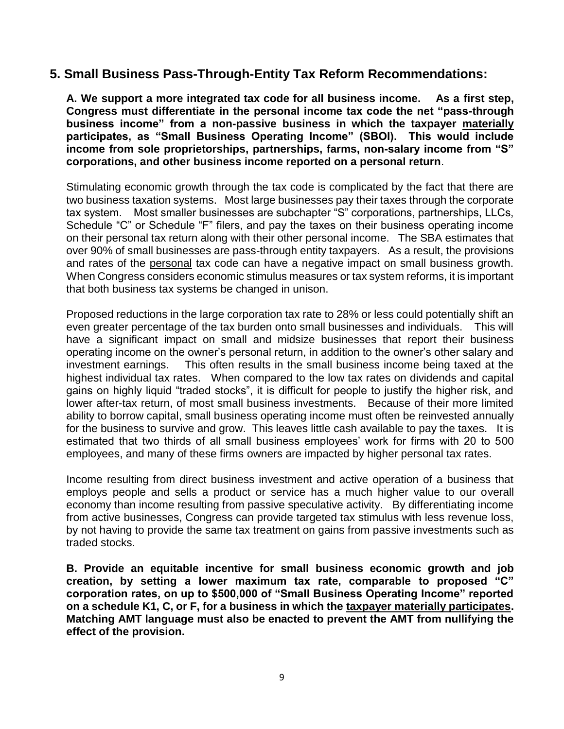# **5. Small Business Pass-Through-Entity Tax Reform Recommendations:**

**A. We support a more integrated tax code for all business income. As a first step, Congress must differentiate in the personal income tax code the net "pass-through business income" from a non-passive business in which the taxpayer materially participates, as "Small Business Operating Income" (SBOI). This would include income from sole proprietorships, partnerships, farms, non-salary income from "S" corporations, and other business income reported on a personal return**.

Stimulating economic growth through the tax code is complicated by the fact that there are two business taxation systems. Most large businesses pay their taxes through the corporate tax system. Most smaller businesses are subchapter "S" corporations, partnerships, LLCs, Schedule "C" or Schedule "F" filers, and pay the taxes on their business operating income on their personal tax return along with their other personal income. The SBA estimates that over 90% of small businesses are pass-through entity taxpayers. As a result, the provisions and rates of the personal tax code can have a negative impact on small business growth. When Congress considers economic stimulus measures or tax system reforms, it is important that both business tax systems be changed in unison.

Proposed reductions in the large corporation tax rate to 28% or less could potentially shift an even greater percentage of the tax burden onto small businesses and individuals. This will have a significant impact on small and midsize businesses that report their business operating income on the owner's personal return, in addition to the owner's other salary and investment earnings. This often results in the small business income being taxed at the highest individual tax rates. When compared to the low tax rates on dividends and capital gains on highly liquid "traded stocks", it is difficult for people to justify the higher risk, and lower after-tax return, of most small business investments. Because of their more limited ability to borrow capital, small business operating income must often be reinvested annually for the business to survive and grow. This leaves little cash available to pay the taxes. It is estimated that two thirds of all small business employees' work for firms with 20 to 500 employees, and many of these firms owners are impacted by higher personal tax rates.

Income resulting from direct business investment and active operation of a business that employs people and sells a product or service has a much higher value to our overall economy than income resulting from passive speculative activity. By differentiating income from active businesses, Congress can provide targeted tax stimulus with less revenue loss, by not having to provide the same tax treatment on gains from passive investments such as traded stocks.

**B. Provide an equitable incentive for small business economic growth and job creation, by setting a lower maximum tax rate, comparable to proposed "C" corporation rates, on up to \$500,000 of "Small Business Operating Income" reported on a schedule K1, C, or F, for a business in which the taxpayer materially participates. Matching AMT language must also be enacted to prevent the AMT from nullifying the effect of the provision.**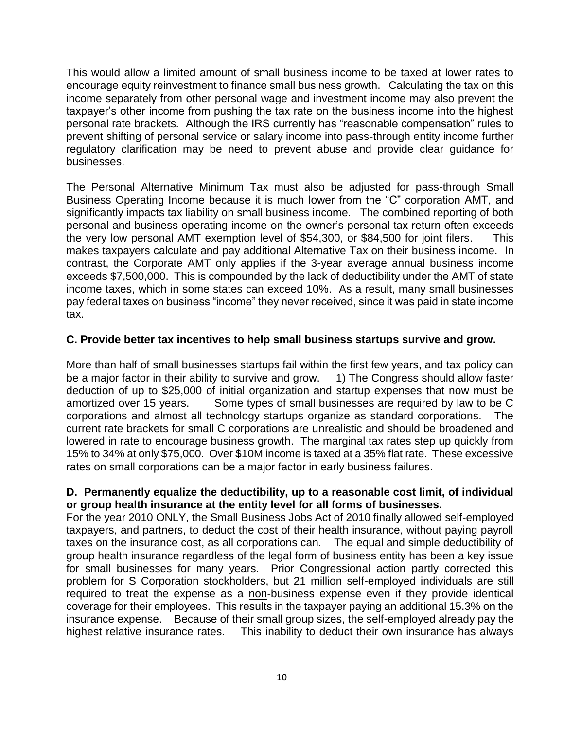This would allow a limited amount of small business income to be taxed at lower rates to encourage equity reinvestment to finance small business growth. Calculating the tax on this income separately from other personal wage and investment income may also prevent the taxpayer's other income from pushing the tax rate on the business income into the highest personal rate brackets*.* Although the IRS currently has "reasonable compensation" rules to prevent shifting of personal service or salary income into pass-through entity income further regulatory clarification may be need to prevent abuse and provide clear guidance for businesses.

The Personal Alternative Minimum Tax must also be adjusted for pass-through Small Business Operating Income because it is much lower from the "C" corporation AMT, and significantly impacts tax liability on small business income. The combined reporting of both personal and business operating income on the owner's personal tax return often exceeds the very low personal AMT exemption level of \$54,300, or \$84,500 for joint filers. This makes taxpayers calculate and pay additional Alternative Tax on their business income. In contrast, the Corporate AMT only applies if the 3-year average annual business income exceeds \$7,500,000. This is compounded by the lack of deductibility under the AMT of state income taxes, which in some states can exceed 10%. As a result, many small businesses pay federal taxes on business "income" they never received, since it was paid in state income tax.

# **C. Provide better tax incentives to help small business startups survive and grow.**

More than half of small businesses startups fail within the first few years, and tax policy can be a major factor in their ability to survive and grow. 1) The Congress should allow faster deduction of up to \$25,000 of initial organization and startup expenses that now must be amortized over 15 years. Some types of small businesses are required by law to be C corporations and almost all technology startups organize as standard corporations. The current rate brackets for small C corporations are unrealistic and should be broadened and lowered in rate to encourage business growth. The marginal tax rates step up quickly from 15% to 34% at only \$75,000. Over \$10M income is taxed at a 35% flat rate. These excessive rates on small corporations can be a major factor in early business failures.

# **D. Permanently equalize the deductibility, up to a reasonable cost limit, of individual or group health insurance at the entity level for all forms of businesses.**

For the year 2010 ONLY, the Small Business Jobs Act of 2010 finally allowed self-employed taxpayers, and partners, to deduct the cost of their health insurance, without paying payroll taxes on the insurance cost, as all corporations can. The equal and simple deductibility of group health insurance regardless of the legal form of business entity has been a key issue for small businesses for many years. Prior Congressional action partly corrected this problem for S Corporation stockholders, but 21 million self-employed individuals are still required to treat the expense as a non-business expense even if they provide identical coverage for their employees. This results in the taxpayer paying an additional 15.3% on the insurance expense. Because of their small group sizes, the self-employed already pay the highest relative insurance rates. This inability to deduct their own insurance has always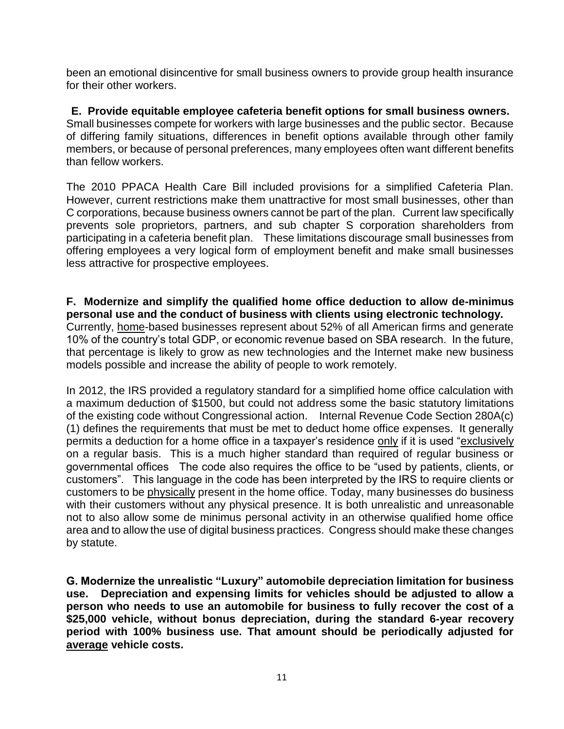been an emotional disincentive for small business owners to provide group health insurance for their other workers.

 **E. Provide equitable employee cafeteria benefit options for small business owners.** Small businesses compete for workers with large businesses and the public sector. Because of differing family situations, differences in benefit options available through other family members, or because of personal preferences, many employees often want different benefits than fellow workers.

The 2010 PPACA Health Care Bill included provisions for a simplified Cafeteria Plan. However, current restrictions make them unattractive for most small businesses, other than C corporations, because business owners cannot be part of the plan. Current law specifically prevents sole proprietors, partners, and sub chapter S corporation shareholders from participating in a cafeteria benefit plan. These limitations discourage small businesses from offering employees a very logical form of employment benefit and make small businesses less attractive for prospective employees.

#### **F. Modernize and simplify the qualified home office deduction to allow de-minimus personal use and the conduct of business with clients using electronic technology.**

Currently, home-based businesses represent about 52% of all American firms and generate 10% of the country's total GDP, or economic revenue based on SBA research. In the future, that percentage is likely to grow as new technologies and the Internet make new business models possible and increase the ability of people to work remotely.

In 2012, the IRS provided a regulatory standard for a simplified home office calculation with a maximum deduction of \$1500, but could not address some the basic statutory limitations of the existing code without Congressional action. Internal Revenue Code Section 280A(c) (1) defines the requirements that must be met to deduct home office expenses. It generally permits a deduction for a home office in a taxpayer's residence only if it is used "exclusively on a regular basis. This is a much higher standard than required of regular business or governmental offices The code also requires the office to be "used by patients, clients, or customers". This language in the code has been interpreted by the IRS to require clients or customers to be physically present in the home office. Today, many businesses do business with their customers without any physical presence. It is both unrealistic and unreasonable not to also allow some de minimus personal activity in an otherwise qualified home office area and to allow the use of digital business practices. Congress should make these changes by statute.

**G. Modernize the unrealistic "Luxury" automobile depreciation limitation for business use. Depreciation and expensing limits for vehicles should be adjusted to allow a person who needs to use an automobile for business to fully recover the cost of a \$25,000 vehicle, without bonus depreciation, during the standard 6-year recovery period with 100% business use. That amount should be periodically adjusted for average vehicle costs.**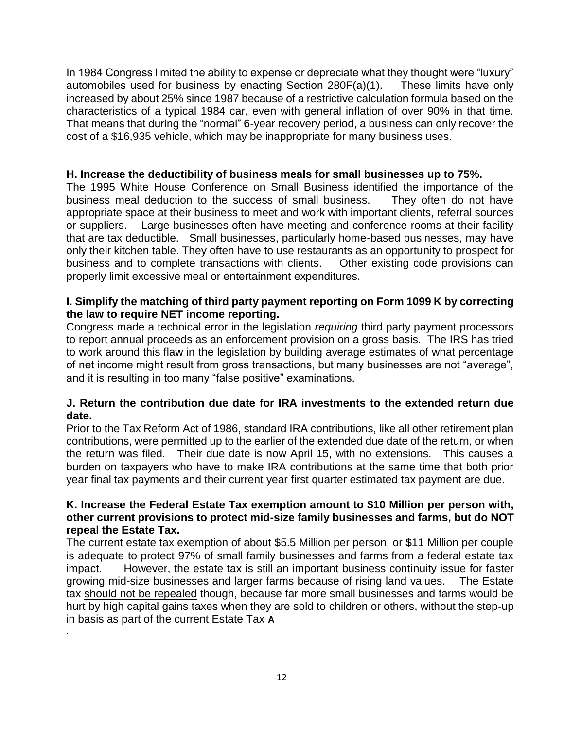In 1984 Congress limited the ability to expense or depreciate what they thought were "luxury" automobiles used for business by enacting Section 280F(a)(1). These limits have only increased by about 25% since 1987 because of a restrictive calculation formula based on the characteristics of a typical 1984 car, even with general inflation of over 90% in that time. That means that during the "normal" 6-year recovery period, a business can only recover the cost of a \$16,935 vehicle, which may be inappropriate for many business uses.

## **H. Increase the deductibility of business meals for small businesses up to 75%.**

The 1995 White House Conference on Small Business identified the importance of the business meal deduction to the success of small business. They often do not have appropriate space at their business to meet and work with important clients, referral sources or suppliers. Large businesses often have meeting and conference rooms at their facility that are tax deductible. Small businesses, particularly home-based businesses, may have only their kitchen table. They often have to use restaurants as an opportunity to prospect for business and to complete transactions with clients. Other existing code provisions can properly limit excessive meal or entertainment expenditures.

# **I. Simplify the matching of third party payment reporting on Form 1099 K by correcting the law to require NET income reporting.**

Congress made a technical error in the legislation *requiring* third party payment processors to report annual proceeds as an enforcement provision on a gross basis. The IRS has tried to work around this flaw in the legislation by building average estimates of what percentage of net income might result from gross transactions, but many businesses are not "average", and it is resulting in too many "false positive" examinations.

### **J. Return the contribution due date for IRA investments to the extended return due date.**

Prior to the Tax Reform Act of 1986, standard IRA contributions, like all other retirement plan contributions, were permitted up to the earlier of the extended due date of the return, or when the return was filed. Their due date is now April 15, with no extensions. This causes a burden on taxpayers who have to make IRA contributions at the same time that both prior year final tax payments and their current year first quarter estimated tax payment are due.

### **K. Increase the Federal Estate Tax exemption amount to \$10 Million per person with, other current provisions to protect mid-size family businesses and farms, but do NOT repeal the Estate Tax.**

The current estate tax exemption of about \$5.5 Million per person, or \$11 Million per couple is adequate to protect 97% of small family businesses and farms from a federal estate tax impact. However, the estate tax is still an important business continuity issue for faster growing mid-size businesses and larger farms because of rising land values. The Estate tax should not be repealed though, because far more small businesses and farms would be hurt by high capital gains taxes when they are sold to children or others, without the step-up in basis as part of the current Estate Tax **A**

.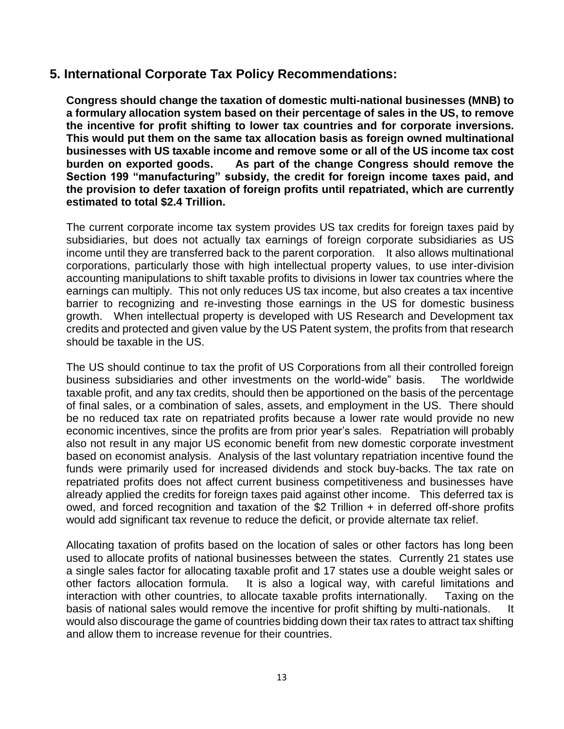# **5. International Corporate Tax Policy Recommendations:**

**Congress should change the taxation of domestic multi-national businesses (MNB) to a formulary allocation system based on their percentage of sales in the US, to remove the incentive for profit shifting to lower tax countries and for corporate inversions. This would put them on the same tax allocation basis as foreign owned multinational businesses with US taxable income and remove some or all of the US income tax cost burden on exported goods. As part of the change Congress should remove the Section 199 "manufacturing" subsidy, the credit for foreign income taxes paid, and the provision to defer taxation of foreign profits until repatriated, which are currently estimated to total \$2.4 Trillion.** 

The current corporate income tax system provides US tax credits for foreign taxes paid by subsidiaries, but does not actually tax earnings of foreign corporate subsidiaries as US income until they are transferred back to the parent corporation. It also allows multinational corporations, particularly those with high intellectual property values, to use inter-division accounting manipulations to shift taxable profits to divisions in lower tax countries where the earnings can multiply. This not only reduces US tax income, but also creates a tax incentive barrier to recognizing and re-investing those earnings in the US for domestic business growth. When intellectual property is developed with US Research and Development tax credits and protected and given value by the US Patent system, the profits from that research should be taxable in the US.

The US should continue to tax the profit of US Corporations from all their controlled foreign business subsidiaries and other investments on the world-wide" basis. The worldwide taxable profit, and any tax credits, should then be apportioned on the basis of the percentage of final sales, or a combination of sales, assets, and employment in the US. There should be no reduced tax rate on repatriated profits because a lower rate would provide no new economic incentives, since the profits are from prior year's sales. Repatriation will probably also not result in any major US economic benefit from new domestic corporate investment based on economist analysis. Analysis of the last voluntary repatriation incentive found the funds were primarily used for increased dividends and stock buy-backs. The tax rate on repatriated profits does not affect current business competitiveness and businesses have already applied the credits for foreign taxes paid against other income. This deferred tax is owed, and forced recognition and taxation of the \$2 Trillion + in deferred off-shore profits would add significant tax revenue to reduce the deficit, or provide alternate tax relief.

Allocating taxation of profits based on the location of sales or other factors has long been used to allocate profits of national businesses between the states. Currently 21 states use a single sales factor for allocating taxable profit and 17 states use a double weight sales or other factors allocation formula. It is also a logical way, with careful limitations and interaction with other countries, to allocate taxable profits internationally. Taxing on the basis of national sales would remove the incentive for profit shifting by multi-nationals. It would also discourage the game of countries bidding down their tax rates to attract tax shifting and allow them to increase revenue for their countries.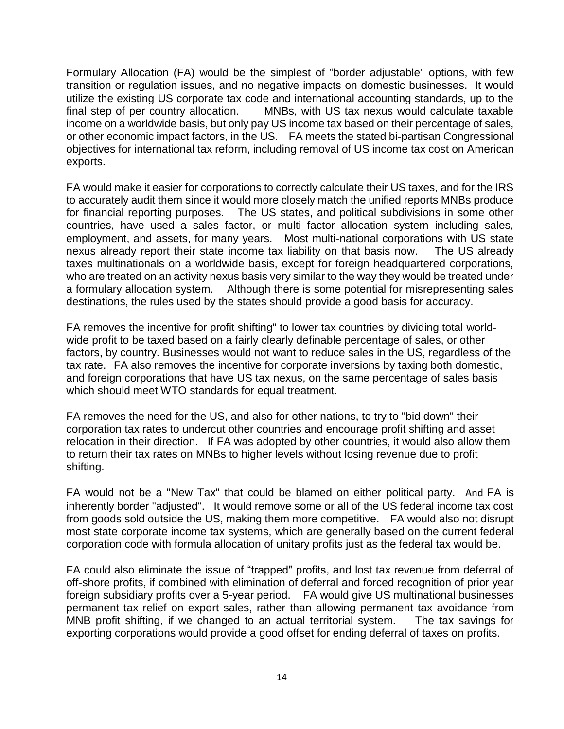Formulary Allocation (FA) would be the simplest of "border adjustable" options, with few transition or regulation issues, and no negative impacts on domestic businesses. It would utilize the existing US corporate tax code and international accounting standards, up to the final step of per country allocation. MNBs, with US tax nexus would calculate taxable income on a worldwide basis, but only pay US income tax based on their percentage of sales, or other economic impact factors, in the US. FA meets the stated bi-partisan Congressional objectives for international tax reform, including removal of US income tax cost on American exports.

FA would make it easier for corporations to correctly calculate their US taxes, and for the IRS to accurately audit them since it would more closely match the unified reports MNBs produce for financial reporting purposes. The US states, and political subdivisions in some other countries, have used a sales factor, or multi factor allocation system including sales, employment, and assets, for many years. Most multi-national corporations with US state nexus already report their state income tax liability on that basis now. The US already taxes multinationals on a worldwide basis, except for foreign headquartered corporations, who are treated on an activity nexus basis very similar to the way they would be treated under a formulary allocation system. Although there is some potential for misrepresenting sales destinations, the rules used by the states should provide a good basis for accuracy.

FA removes the incentive for profit shifting" to lower tax countries by dividing total worldwide profit to be taxed based on a fairly clearly definable percentage of sales, or other factors, by country. Businesses would not want to reduce sales in the US, regardless of the tax rate. FA also removes the incentive for corporate inversions by taxing both domestic, and foreign corporations that have US tax nexus, on the same percentage of sales basis which should meet WTO standards for equal treatment.

FA removes the need for the US, and also for other nations, to try to "bid down" their corporation tax rates to undercut other countries and encourage profit shifting and asset relocation in their direction. If FA was adopted by other countries, it would also allow them to return their tax rates on MNBs to higher levels without losing revenue due to profit shifting.

FA would not be a "New Tax" that could be blamed on either political party. And FA is inherently border "adjusted". It would remove some or all of the US federal income tax cost from goods sold outside the US, making them more competitive. FA would also not disrupt most state corporate income tax systems, which are generally based on the current federal corporation code with formula allocation of unitary profits just as the federal tax would be.

FA could also eliminate the issue of "trapped" profits, and lost tax revenue from deferral of off-shore profits, if combined with elimination of deferral and forced recognition of prior year foreign subsidiary profits over a 5-year period. FA would give US multinational businesses permanent tax relief on export sales, rather than allowing permanent tax avoidance from MNB profit shifting, if we changed to an actual territorial system. The tax savings for exporting corporations would provide a good offset for ending deferral of taxes on profits.